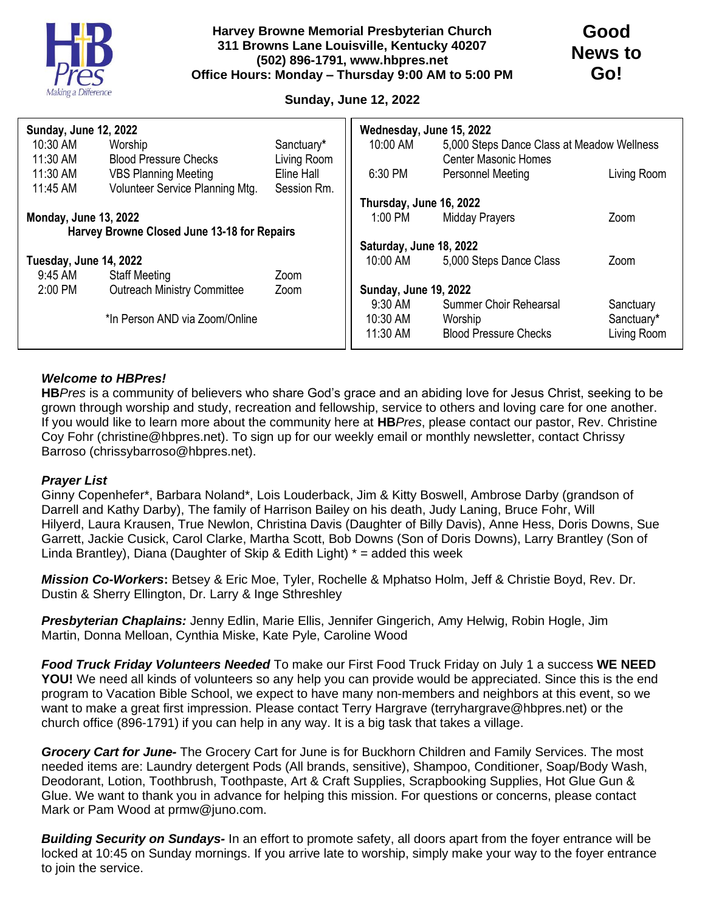

## **Sunday, June 12, 2022**

| <b>Sunday, June 12, 2022</b>                |                                    |             | Wednesday, June 15, 2022     |                                            |             |
|---------------------------------------------|------------------------------------|-------------|------------------------------|--------------------------------------------|-------------|
| 10:30 AM                                    | Worship                            | Sanctuary*  | 10:00 AM                     | 5,000 Steps Dance Class at Meadow Wellness |             |
| 11:30 AM                                    | <b>Blood Pressure Checks</b>       | Living Room |                              | <b>Center Masonic Homes</b>                |             |
| 11:30 AM                                    | <b>VBS Planning Meeting</b>        | Eline Hall  | 6:30 PM                      | Personnel Meeting                          | Living Room |
| 11:45 AM                                    | Volunteer Service Planning Mtg.    | Session Rm. |                              |                                            |             |
|                                             |                                    |             | Thursday, June 16, 2022      |                                            |             |
| <b>Monday, June 13, 2022</b>                |                                    |             | 1:00 PM                      | <b>Midday Prayers</b>                      | Zoom        |
| Harvey Browne Closed June 13-18 for Repairs |                                    |             |                              |                                            |             |
|                                             |                                    |             | Saturday, June 18, 2022      |                                            |             |
| Tuesday, June 14, 2022                      |                                    | 10:00 AM    | 5,000 Steps Dance Class      | Zoom                                       |             |
| 9:45 AM                                     | <b>Staff Meeting</b>               | Zoom        |                              |                                            |             |
| $2:00$ PM                                   | <b>Outreach Ministry Committee</b> | Zoom        | <b>Sunday, June 19, 2022</b> |                                            |             |
|                                             |                                    |             | $9:30$ AM                    | Summer Choir Rehearsal                     | Sanctuary   |
| *In Person AND via Zoom/Online              |                                    |             | 10:30 AM                     | Worship                                    | Sanctuary*  |
|                                             |                                    |             | 11:30 AM                     | <b>Blood Pressure Checks</b>               | Living Room |
|                                             |                                    |             |                              |                                            |             |

## *Welcome to HBPres!*

**HB***Pres* is a community of believers who share God's grace and an abiding love for Jesus Christ, seeking to be grown through worship and study, recreation and fellowship, service to others and loving care for one another. If you would like to learn more about the community here at **HB***Pres*, please contact our pastor, Rev. Christine Coy Fohr (christine@hbpres.net). To sign up for our weekly email or monthly newsletter, contact Chrissy Barroso (chrissybarroso@hbpres.net).

## *Prayer List*

Ginny Copenhefer\*, Barbara Noland\*, Lois Louderback, Jim & Kitty Boswell, Ambrose Darby (grandson of Darrell and Kathy Darby), The family of Harrison Bailey on his death, Judy Laning, Bruce Fohr, Will Hilyerd, Laura Krausen, True Newlon, Christina Davis (Daughter of Billy Davis), Anne Hess, Doris Downs, Sue Garrett, Jackie Cusick, Carol Clarke, Martha Scott, Bob Downs (Son of Doris Downs), Larry Brantley (Son of Linda Brantley), Diana (Daughter of Skip & Edith Light)  $*$  = added this week

*Mission Co-Workers***:** Betsey & Eric Moe, Tyler, Rochelle & Mphatso Holm, Jeff & Christie Boyd, Rev. Dr. Dustin & Sherry Ellington, Dr. Larry & Inge Sthreshley

*Presbyterian Chaplains:* Jenny Edlin, Marie Ellis, Jennifer Gingerich, Amy Helwig, Robin Hogle, Jim Martin, Donna Melloan, Cynthia Miske, Kate Pyle, Caroline Wood

*Food Truck Friday Volunteers Needed* To make our First Food Truck Friday on July 1 a success **WE NEED YOU!** We need all kinds of volunteers so any help you can provide would be appreciated. Since this is the end program to Vacation Bible School, we expect to have many non-members and neighbors at this event, so we want to make a great first impression. Please contact Terry Hargrave (terryhargrave@hbpres.net) or the church office (896-1791) if you can help in any way. It is a big task that takes a village.

*Grocery Cart for June-* The Grocery Cart for June is for Buckhorn Children and Family Services. The most needed items are: Laundry detergent Pods (All brands, sensitive), Shampoo, Conditioner, Soap/Body Wash, Deodorant, Lotion, Toothbrush, Toothpaste, Art & Craft Supplies, Scrapbooking Supplies, Hot Glue Gun & Glue. We want to thank you in advance for helping this mission. For questions or concerns, please contact Mark or Pam Wood at prmw@juno.com.

*Building Security on Sundays-* In an effort to promote safety, all doors apart from the foyer entrance will be locked at 10:45 on Sunday mornings. If you arrive late to worship, simply make your way to the foyer entrance to join the service.